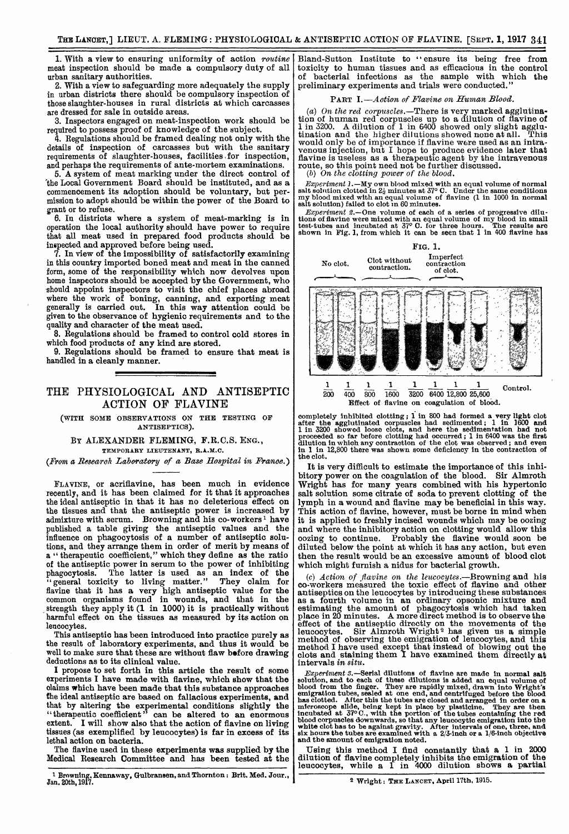1. With a view to ensuring uniformity of action routine meat inspection should be made a compulsory duty of all urban sanitary authorities.

2. With a view to safeguarding more adequately the supply in urban districts there should be compulsory inspection of those slaughter-houses in rural districts at which carcasses are dressed for sale in outside areas.

3. Inspectors engaged on meat-inspection work should be required to possess proof of knowledge of the subject.

4. Regulations should be framed dealing not only with the details of inspection of carcasses but with the sanitary requirements of slaughter-houses, facilities, for inspection, and perhaps the requirements of ante-mortem examinations.

5. A system of meat marking under the direct control of 'the Local Government Board should be instituted, and as a commencement its adoption should be voluntary, but permission to adopt should be within the power of the Board to grant or to refuse.

6. In districts where a system of meat-marking is in operation the local authority should have power to require that all meat used in prepared food products should be inspected and approved before being used.

7. In view of the impossibility of satisfactorily examining in this country imported boned meat and meat in the canned form, some of the responsibility which now devolves upon home inspectors should be accepted by the Government, who should appoint inspectors to visit the chief places abroad should appoint inspectors to visit the chief places abroad where the work of boning, canning, and exporting meat generally is carried out. In this way attention could be given to the observance of hygienic requirements and to the quality and character of the meat used.

8. Regulations should be framed to control cold stores in which food products of any kind are stored.

9. Regulations should be framed to ensure that meat is handled in a cleanly manner.

## THE PHYSIOLOGICAL AND ANTISEPTIC ACTION OF FLAVINE

(WITH SOME OBSERVATIONS ON THE TESTING OF ANTISEPTICS).

BY ALEXANDER FLEMING, F.R.C.S. ENG., TEMPORARY LIEUTENANT, R.A.M.C.

(From a Research Laboratory of a Base Hospital in France.)

FLAVINE, or acriflavine, has been much in evidence recently, and it has been claimed for it that it approaches the ideal antiseptic in that it has no deleterious effect on the tissues and that the antiseptic power is increased by admixture with serum. Browning and his co-workers<sup>1</sup> have published a table giving the antiseptic values and the influence on phagocytosis of a number of antiseptic solutions, and they arrange them in order of merit by means of a "therapeutic coefficient," which they define as the ratio of the antiseptic power in serum to the power of inhibiting phagocytosis. The latter is used as an index of the "general toxicity to living matter." They claim for flavine that it has a very high antiseptic value for the common organisms found in wounds, and that in the strength they apply it (1 in 1000) it is practically without harmful effect on the tissues as measured by its action on leucocytes.

This antiseptic has been introduced into practice purely as the result of laboratory experiments, and thus it would be well to make sure that these are without flaw before drawing deductions as to its clinical value.

I propose to set forth in this article the result of some experiments I have made with flavine, which show that the the ideal antiseptic are based on fallacious experiments, and that by altering the experimental conditions slightly the "therapeutic coefficient" can be altered to an enormous extent. I will show also that the action of flavine on living tissues (as exemplified by leucocytes) is far in excess of its lethal action on bacteria.

The flavine used in these experiments was supplied by the Medical Research Committee and has been tested at the

1 Browning, Kennaway, Gulbransen, and Thornton: Brit. Med. Jour., Jan. 20th, 1917.

Bland-Sutton Institute to "ensure its being free from toxicity to human tissues and as efficacious in the control of bacterial infections as the sample with which the preliminary experiments and trials were conducted."

### PART I.-Action of Flavine on Human Blood.

(a) On the red corpuscles.-There is very marked agglutination of human red corpuscles up to a dilution of flavine of 1 in 3200. A dilution of 1 in 6400 showed only slight agglu- tination and the higher dilutions showed none at all. This would only be of importance if flavine were used as an intra-<br>venous injection, but  $I$  hope to produce evidence later that flavine is useless as a therapeutic agent by the intravenous route, so this point need not be further discussed.<br>(b) On the clotting power of the blood.

*Experiment 1.*—My own blood mixed with an equal volume of normal salt solution clotted in  $2\frac{i}{2}$  minutes at  $37^{\circ}$  C. Under the same conditions my blood mixed with an equal volume of flavine (1 in 1000 in normal sal

*Experiment 2.*—One volume of each of a series of progressive dilutions of flavine were mixed with an equal volume of my blood in small test-tubes and incubated at  $37^{\circ}$  C. for three hours. The results are shown in Fig



completely inhibited clotting; 1 in 800 had formed a very light clots<br>after the agglutinated corpuscles had sedimented; 1 in 1600 and<br>1 in 3200 showed loose clots, and here the sedimentation had not<br>proceeded so far before in 1 in 12,800 there was shown some deficiency in the contraction of the clot.

It is very difficult to estimate the importance of this inhibitory power on the coagulation of the blood. Sir Almroth Wright has for many years combined with his hypertonic salt solution some citrate of soda to prevent clotting of the lymph in a wound and flavine may be beneficial in this way. This action of flavine, however, must be borne in mind when it is applied to freshly incised wounds which may be oozing and where the inhibitory action on clotting would allow this oozing to continue. Probably the flavine would soon be diluted below the point at which it has any action, but even then the result would be an excessive amount of blood clot which might furnish a nidus for bacterial growth.

(c) Action of flavine on the leucocytes.-Browning and his co-workers measured the toxic effect of flavine and other antiseptics on the leucocytes by introducing these substances as a fourth volume in an ordinary opsonic mixture and estimating the amount of phagocytosis which had taken place in 20 minutes. A more direct method is to observe the effect of the antiseptic directly on the movements of the leucocytes. Sir Almroth Wright<sup>2</sup> has given us a simple method of observing the emigration of leucocytes, and this method I have used except that instead of blowing out the clots and staining them I have examined them directly at intervals in situ.

*Experiment 3.*—Serial dilutions of flavine are made in normal salt<br>solution, and to each of these dilutions is added an equal volume of<br>blood from the finger. They are rapidly mixed, drawn into Wright's<br>emigration tubes, six hours the tubes are examined with a 2/3-inoh or a 1/6-inch objective and the amount of emigration noted.

Using this method I find constantly that a 1 in 2000 dilution of flavine completely inhibits the emigration of the leucocytes, while a 1 in 4000 dilution shows a partial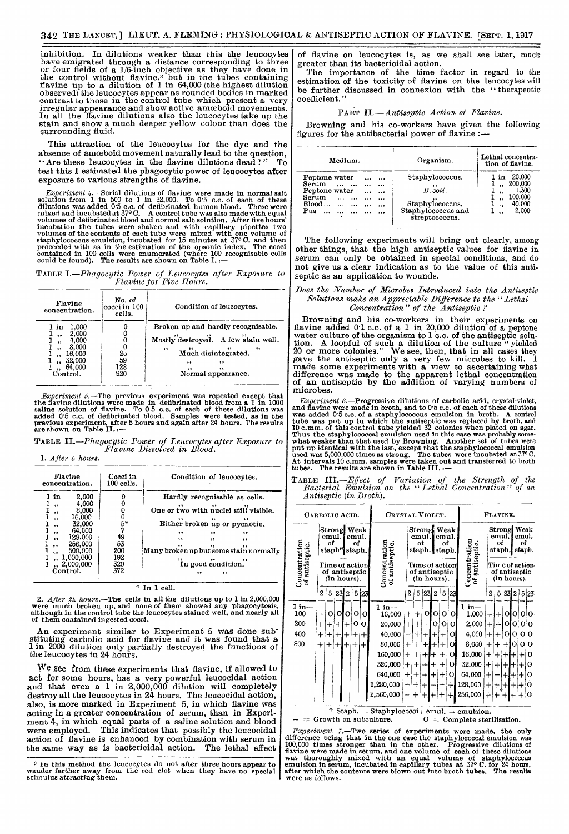inhibition. In dilutions weaker than this the leucocytes have emigrated through a distance corresponding to three or four fields of a 1/6-inch objective as they have done in the control without flavine,<sup>3</sup> but in the tubes containing<br>flavine up to a dilution of 1 in 64,000 (the highest dilution<br>observed) the leucocytes appear as rounded bodies in marked contrast to those in the control tube which present a very irregular appearance and show active amoeboid movements. In all the flavine dilutions also the leucocytes take up the stain and show a much deeper yellow colour than does the surrounding fluid.

This attraction of the leucocytes for the dye and the absence of amceboid movement naturally lead to the question, " Are these leucocytes in the flavine dilutions dead?" To test this I estimated the phagocytic power of leucocytes after exposure to various strengths of flavine.

*Experiment 4.*—Serial dilutions of flavine were made in normal salt solution from 1 in 500 to 1 in 32,000. To 0.5 c.c. of each of these dilutions was added 0.5 c.c. of each of these mixed and incubated at 37°C. A control incubation the tubes were shaken and with capillary pipettes two volumes of the contents of each tube were mixed with one volume of staphylococcus emulsion, incubated for 15 minutes at 37° C. and then proceeded with as in

TABLE I.—Phagocytic Power of Leucocytes after Exposure to Flavine for Five Hours.

| Flavine<br>concentration.                                                                                 | No. of<br>cocci in 100<br>cells. | Condition of leucocytes.                                                                                                                                             |
|-----------------------------------------------------------------------------------------------------------|----------------------------------|----------------------------------------------------------------------------------------------------------------------------------------------------------------------|
| 1,000<br>in<br>2,000<br>\$9<br>4.000<br>,,<br>8,000<br>,<br>16,000<br>32,000<br><br>,, 64,000<br>Control. | $\frac{25}{59}$<br>128<br>920    | Broken up and hardly recognisable.<br>Mostly destroyed. A few stain well.<br>,,<br>$\overline{\phantom{a}}$<br>Much disintegrated.<br>,,<br>73<br>Normal appearance. |

*Experiment 5.*—The previous experiment was repeated except that<br>the flavine dilutions were made in defibrinated blood from a 1 in 1000<br>saline solution of flavine. To 0 5 c.c. of each of these dilutions was<br>added 0 5 c.c.

TABLE II.—Phagocytic Power of Leucocytes after Exposure to<br>Flavine Dissolved in Blood.

1. After 5 hours.

| Flavine<br>concentration.                                                                                                                                                                                | Cocci in<br>$100$ cells.                       | Condition of leucocytes.                                                                                                                                                                                                                   |  |  |  |  |  |  |  |
|----------------------------------------------------------------------------------------------------------------------------------------------------------------------------------------------------------|------------------------------------------------|--------------------------------------------------------------------------------------------------------------------------------------------------------------------------------------------------------------------------------------------|--|--|--|--|--|--|--|
| 2,000<br>in<br>4,000<br>, ,<br>8,000<br>$, \,$<br>16,000<br>5, 1<br>32,000<br>, 1<br>64,000<br>$, \,$<br>128,000<br>,,<br>256,000<br>$, \cdot$<br>500,000<br>5.8<br>1,000,000<br>, 2,000,000<br>Control. | 5*<br>$^{49}_{53}$<br>200<br>192<br>320<br>372 | Hardly recognisable as cells.<br>One or two with nuclei still visible.<br>Either broken up or pycnotic.<br>, ,<br>5.5<br>$\ddot{\phantom{a}}$<br>$, \,$<br>13<br>Many broken up but some stain normally<br>In good condition."<br>.,<br>,, |  |  |  |  |  |  |  |

### " In 1 cell.

2. After 24 hours.—The cells in all the dilutions up to 1 in 2,000,000 were much broken up, and none of them showed any phagocytosis, although in the control tube the leucocytes stained well, and nearly all of them contained ingested cocci.

An experiment similar to Experiment 5 was done substituting carbolic acid for flavine and it was found that a 1 in 2000 dilution only partially destroyed the functions of the leucocytes in 24 hours.

 $\sqrt{v}$  see from these experiments that flavine, if allowed to act for some hours, has a very powerful leucocidal action and that even a 1 in 2,000,000 dilution will completely destroy all the leucocytes in 24 hours. The leucocidal action, also, is more marked in Experiment 5, in which flavine was acting in a greater concentration of serum, than in Experiment 4, in which equal parts of a saline solution and blood were employed. This indicates that possibly the leucocidal action of flavine is enhanced by combination with serum in the same way as is bactericidal action. The lethal effect

3 In this method the leucocytes do not after three hours appear to wander farther away from the red clot when they have no special stimulus attracting them.

of flavine on leucocytes is, as we shall see later, much greater than its bactericidal action.

The importance of the time factor in regard to the estimation of the toxicity of flavine on the leucocytes will be further discussed in connexion with the "therapeutic coefficient.'

## PART II.-Antiseptic Action of Flavine.

Browning and his co-workers have given the following figures for the antibacterial power of flavine :-

| Medium.                                                                                                                                | Organism.                                                                                | Lethal concentra-<br>tion of flavine.                                         |  |  |  |  |  |  |
|----------------------------------------------------------------------------------------------------------------------------------------|------------------------------------------------------------------------------------------|-------------------------------------------------------------------------------|--|--|--|--|--|--|
| Peptone water<br>$\cdots$<br>$\cdots$<br>$Serum \dots$<br>Peptone water<br>$\cdots$<br>$\cdots$<br>Serum<br>Blood<br>$P_{\rm{UB}}$<br> | Staphylococcus.<br>$B.$ coli.<br>Staphylococcus.<br>Staphylococcus and<br>streptococcus. | 20,000<br>1 in<br>200,000<br>1,300<br>, ,<br>100.000<br>40,000<br>٠,<br>2,000 |  |  |  |  |  |  |

The following experiments will bring out clearly, among other things, that the high antiseptic values for flavine in serum can only be obtained in special conditions, and do not give us a clear indication as to the value of this antiseptic as an application to wounds.

## Does the Number of Microbes Introduced into the Antiseptic Solutions make an Appreciable Difference to the "Lethal  $Concentration$  " of the Antiseptic?

Browning and his co-workers in their experiments on flavine added 0'1 c.c. of a 1 in 20,000 dilution of a peptone water culture of the organism to 1 c.c. of the antiseptic solution. A loopful of such a dilution of the culture "yielded 20 or more colonies." We see, then, that in all cases they gave the antiseptic only a very few microbes to kill. I made some experiments with a view to ascertaining what difference was made to the apparent lethal concentration of an antiseptic by the addition of varying numbers of microbes.

*Experiment 6.*—Progressive dilutions of carbolic acid, crystal-violet,<br>and flavine were made in broth, and to 0<sup>-5</sup> c.c. of a as adapty<br>lococcus emulsion in broth. A control<br>tube was added 0-5 c.c. of a staphylococcus em

TABLE III.—Effect of Variation of the Strength of the Bacterial Emulsion on the "Lethal Concentration" of an Antisentic (in Broth). .4ntiseptic (in Broth).

| CARBOLIC ACID.                                 |                                                            |              | CRYSTAL VIOLET. |                                         |              |                                                |                                                            |                  |                                 |        |                                                 | FLAVINE. |                |                                                                  |           |        |              |          |           |          |
|------------------------------------------------|------------------------------------------------------------|--------------|-----------------|-----------------------------------------|--------------|------------------------------------------------|------------------------------------------------------------|------------------|---------------------------------|--------|-------------------------------------------------|----------|----------------|------------------------------------------------------------------|-----------|--------|--------------|----------|-----------|----------|
|                                                | Strong Weak<br>emul.<br>emul.<br>of<br>οf<br>staph* staph. |              |                 |                                         |              |                                                | Strong Weak<br>emul.<br>emul.<br>ot<br>οf<br>staph. staph. |                  |                                 |        |                                                 |          |                | Weak<br>Strong<br>emul.<br>emul.<br>of<br>of<br>staph.<br>staph. |           |        |              |          |           |          |
| Concentration<br>of antiseptic.<br>antiseptic. | Time of action<br>of antiseptic<br>(in hours).             |              |                 | <b>Joncentration</b><br>antiseptic<br>ಕ |              | Time of action<br>of antiseptic<br>(in hours). |                                                            |                  | Concentration<br>of antiseptic. |        | Time of action.<br>of antiseptic<br>(in hours). |          |                |                                                                  |           |        |              |          |           |          |
|                                                | 2                                                          |              |                 |                                         | 5 23 2 5 23  |                                                |                                                            | 2                |                                 |        | 5 23 2                                          | 5        | 23             |                                                                  | 2         |        | 5 23 2 5 25  |          |           |          |
| l in—<br>100                                   | $^{+}$                                                     | O.           |                 |                                         | 0 0 0        | $\Omega$                                       | $1$ in $-$<br>10,000                                       | $\boldsymbol{+}$ | $\ddot{}$                       | ОI     | $\Omega$                                        | O        | O              | $1 in-$<br>1,000                                                 | $\, +$    | $\div$ |              | O[0 0 0  |           |          |
| 200                                            | $^{+}$                                                     | $^{+}$       | $+1$            | $+$                                     | о            | $\Omega$                                       | 20,000                                                     | $\pm$            | $\,+\,$                         | $+$    | О                                               | 0        | Ol             | 2,000                                                            | $^{+}$    | $+$    |              | O[O O]   |           |          |
| 400                                            | $\mathrm{+}$                                               | $\mathrm{+}$ | $+$             | $\pm$                                   | $\pm$        | ┿                                              | 40,000                                                     | $\mathrm{+}$     | $^{+}$                          | $^{+}$ | ╊                                               | $\div$   | O              | 4,000                                                            | $+ $      | $+1$   |              | OIO OI   |           | $\Omega$ |
| 800                                            | $\ddag$                                                    | $\pm$        | $+$             | $+$                                     | $\mathrm{+}$ | $^+$                                           | 80,000                                                     | $+$              | $^{+}$                          | $+$    | $^{+}$                                          | $\div$   | $\mathbf{O}$   | 8,000                                                            | $\ddot{}$ |        | $+ + 0 0 0 $ |          |           |          |
|                                                |                                                            |              |                 |                                         |              |                                                | 160,000                                                    | $+$              | $\pm i$                         | $+1$   | $+ $                                            | $+ $     | O              | 16,000                                                           | $+$       | $+ + $ |              | $+ + $   |           | 0        |
|                                                |                                                            |              |                 |                                         |              |                                                | 320,000                                                    | $+$              | $\pm $                          | $+1$   | $+$                                             | $+ $     | <sup>O</sup>   | 32,000                                                           | $^{+}$    | $\div$ | $+1$         | $^{(+)}$ | $+$       | o        |
|                                                |                                                            |              |                 |                                         |              |                                                | 640,000                                                    | $+$              | $\div$                          | $+1$   | $\ddot{}$                                       | $^{+}$   | $\overline{O}$ | 64,000                                                           | $\ddag$   | $+ + $ |              | $\pm$    | $\ddot{}$ | 0        |
|                                                |                                                            |              |                 |                                         |              |                                                | 1,280,000                                                  | $^{+}$           | $\div$                          | $+$    | $\pm$                                           | $\, +$   | $\pm$          | 128,000                                                          | $+$       | $\pm$  |              | $+$      | $^{+}$    | 0        |
|                                                |                                                            |              |                 |                                         |              |                                                | 2,560,000                                                  | $^{+}$           |                                 |        | t                                               |          |                | 256,000                                                          | $\ddag$   |        |              |          | $+$       | 0        |
|                                                |                                                            |              | $#$ $Q+$        |                                         |              |                                                | $\mathcal{O}$ tanbulazonat amanl                           |                  |                                 |        |                                                 |          |                | مسحاة ماقسم محموما                                               |           |        |              |          |           |          |

\* Staph. = Staphylococci; emul. = emulsion.<br>+ = Growth on subculture.  $0 =$  Complete sterilisation. \* Staph. = Staphylococci ; emul. = emulsion.<br>+ = Growth on subculture.  $0 =$  Complete sterilisation.

*Experiment 7.*—Two series of experiments were made, the only<br>difference being that in the one case the staphylococcal emulsion was<br>100,000 times stronger than in the other. Progressive dilutions of<br>flavine were made in s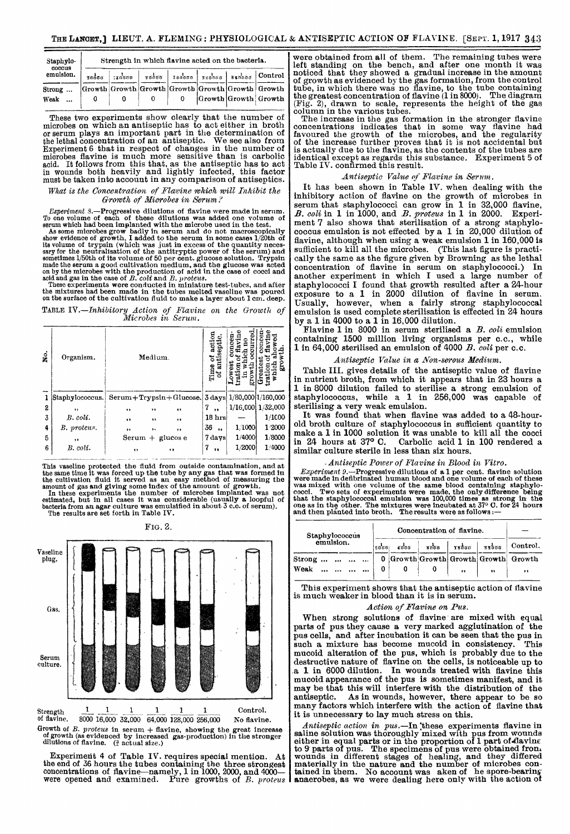| Strength in which flavine acted on the bacteria. |    |       |  |  |  |                                                                                                                                               |  |  |  |  |  |  |
|--------------------------------------------------|----|-------|--|--|--|-----------------------------------------------------------------------------------------------------------------------------------------------|--|--|--|--|--|--|
|                                                  |    |       |  |  |  |                                                                                                                                               |  |  |  |  |  |  |
|                                                  |    |       |  |  |  |                                                                                                                                               |  |  |  |  |  |  |
| 0                                                | -0 | - 0   |  |  |  |                                                                                                                                               |  |  |  |  |  |  |
|                                                  |    | πορασ |  |  |  | $\frac{1}{4}$ (πόσο   ποδοσ   ποδοσ   περόσο   περόσο   Control<br>Growth Growth Growth Growth Growth Growth Growth<br>0 Growth Growth Growth |  |  |  |  |  |  |

These two experiments show clearly that the number of microbes on which an antiseptic has to act either in broth or serum plays an important part in the determination of the lethal concentration of an antiseptic. We see also from Experiment 6 that in respect of changes in the number of microbes flavine is much more sensitive than is carbolic acid. It follows from this that, as the antiseptic has to act in wounds both heavily and lightly infected, this factor must be taken into account in any comparison of antiseptics.

What is the Concentration of Flavine which will Inhibit the Growth of Microbes in Serum?

*Experiment 8.*—Progressive dilutions of flavine were made in serum.<br>To one volume of each of those dilutions was added one volume of<br>serum which had been implanted with the microbe used in the test.<br>As some microbes grow

TABLE IV.-Inhibitory Action of Flavine on the Growth of Microbes in Serum.

| No. | Organism.                  |           |    | Medium.                                                        | tisept<br>äï<br>Time       |        | ጜ                 |
|-----|----------------------------|-----------|----|----------------------------------------------------------------|----------------------------|--------|-------------------|
|     | Staphylococcus.            |           |    | Serum + Trypsin + Glucose. $3 \text{ days}$ 1/80,000 1/160,000 |                            |        |                   |
| 2   | ,,                         | ,,        | ,, | ,,                                                             | 7<br>,                     |        | 1/16,000 1/32,000 |
| 3   | $B. \text{ } \text{col1}.$ | $\bullet$ | ,, | ,,                                                             | 18 <sub>hrs</sub>          |        | 1/1000            |
| 4   | B. proteus.                | ,,        | ٠, | , ,                                                            | 36<br>$\ddot{\phantom{0}}$ | 1/1000 | 1/2000            |
| 5   | $, \,$                     |           |    | $Serum + glucos e$                                             | 7 days                     | 1/4000 | 1/8000            |
| 6   | B. coli.                   | $, \,$    |    | $, \,$                                                         | 7<br>$^{\bullet}$          | 1/2000 | 1/4000            |
|     |                            |           |    |                                                                |                            |        |                   |

This vaseline protected the fluid from outside contamination, and at<br>the same time it was forced up the tote by any gas that was formed in<br>the cultivation fluid it served as an easy method of measuring the<br>amount of gas a





of flavine. 8000 16,000 32,000 64,000 128,000 256,000 No flavine. Growth of B. proteus in serum + flavine, showing the great increase of growth (as evidenced by increased gas-production) in the stronger<br>dilutions of flavine. ( $\frac{3}{4}$  actual size.)

Experiment 4 of Table IV. requires special mention. At the end of 36 hours the tubes containing the three strongest concentrations of flavine-namely, 1 in 1000, 2000, and 4000-<br>were opened and examined. Pure growths of B. proteus

were obtained from all of them. The remaining tubes were left standing on the bench, and after one month it was noticed that they showed a gradual increase in the amount of growth as evidenced by the gas formation, from the control tube, in which there was no flavine, to the tube containing the greatest concentration of flavine (1 in 8000). The diagram (Fig. 2), drawn to scale, represents the height of the gas column in the various tubes.

The increase in the gas formation in the stronger flavine concentrations indicates that in some way flavine had favoured the growth of the microbes, and the regularity of the increase further proves that it is not accidental but is actually due to the flavine, as the contents of the tubes are identical except as regards this substance. Experiment 5 of Table IV. confirmed this result.

### Antiseptic Value of Flavine in Serum.

It has been shown in Table IV. when dealing with the inhibitory action of flavine on the growth of microbes in serum that staphylococci can grow in 1 in 32,000 flavine, B. coli in 1 in 1000, and B. proteus in 1 in 2000. Experiment 7 also shows that sterilisation of a strong staphylococcus emulsion is not effected by a 1 in  $20,000$  dilution of flavine, although when using a weak emulsion 1 in 160,000 is sufficient to kill all the microbes. (This last figure is practically the same as the figure given by Browning as the lethal concentration of flavine in serum on staphylococci.) In another experiment in which I used a large number of staphylococci I found that growth resulted after a 24-hour exposure to a 1 in 2000 dilution of flavine in serum. Usually, however, when a fairly strong staphylococcal emulsion is used complete sterilisation is effected in 24 hours by a 1 in 4000 to a 1 in 16,000 dilution.

Flavine 1 in 8000 in serum sterilised a B. coli emulsion containing 1500 million living organisms per c.c., while 1 in 64,000 sterilised an emulsion of 4000 B. coli per c.c.

### Antiseptic Value in a Non-serous Medium.

Table III. gives details of the antiseptic value of flavine in nutrient broth, from which it appears that in 23 hours a 1 in 8000 dilution failed to sterilise a strong emulsion of staphylococcus, while a 1 in 256,000 was capable of sterilising a very weak emulsion.

It was found that when flavine was added to a 48-hourold broth culture of staphylococcus in sufficient quantity to make a 1 in 1000 solution it was unable to kill all the cocci<br>in 24 hours at 37° C. Carbolic acid 1 in 100 rendered a Carbolic acid 1 in 100 rendered a similar culture sterile in less than six hours.

## - Antiseptic Power of Flavine in Blood in Vitro.

*Experiment 9.*—Progressive dilutions of a 1 per cent. flavine solution were made in defibrinated human blood and one volume of each of these was mixed with one volume of the same blood containing staphylococci. Two sets

| Staphylococcus |  |                                            |           |                                                                          | Concentration of flavine. |  |           |              |                                      |  |  |
|----------------|--|--------------------------------------------|-----------|--------------------------------------------------------------------------|---------------------------|--|-----------|--------------|--------------------------------------|--|--|
| emulsion.      |  |                                            |           | $\frac{1}{8000}$   $\frac{1}{18000}$   $\frac{1}{8000}$<br>1000<br>50001 |                           |  |           |              | Control.                             |  |  |
| Strong         |  |                                            | $\ddotsc$ |                                                                          |                           |  |           |              | 0 Growth Growth Growth Growth Growth |  |  |
| Weak           |  | $\mathbf{u}$ . $\mathbf{u}$ . $\mathbf{u}$ | $\cdots$  |                                                                          |                           |  | $, \, \,$ | $^{\bullet}$ | $\bullet$                            |  |  |

This experiment shows that the antiseptic action of flavine is much weaker in blood than it is in serum.

## Action of Flavine on Pus.

When strong solutions of flavine are mixed with equal parts of pus they cause a very marked agglutination of the pus cells, and after incubation it can be seen that the pus in such a mixture has become mucoid in consistency. This such a mixture has become mucoid in consistency. mucoid alteration of the pus, which is probably due to the destructive nature of flavine on the cells, is noticeable up to .a 1 in 6000 dilution. In wounds treated with flavine this mucoid appearance of the pus is sometimes manifest, and it may be that this will interfere with the distribution of the antiseptic. As in wounds, however, there appear to be so As in wounds, however, there appear to be so many factors which interfere with the action of flavine that it is unnecessary to lay much stress on this.

Antiseptic action in pus.-In 'these experiments flavine in saline solution was thoroughly mixed with pus from wounds either in equal parts or in the proportion of 1 part of flaving<br>to 9 parts of pus. The specimens of pus were obtained from.<br>wounds in different stages of healing, and they differed materially in the nature and the number of microbes con-tained in them. No account was aken of he spore-bearing anaerobes, as we were dealing here only with the action ot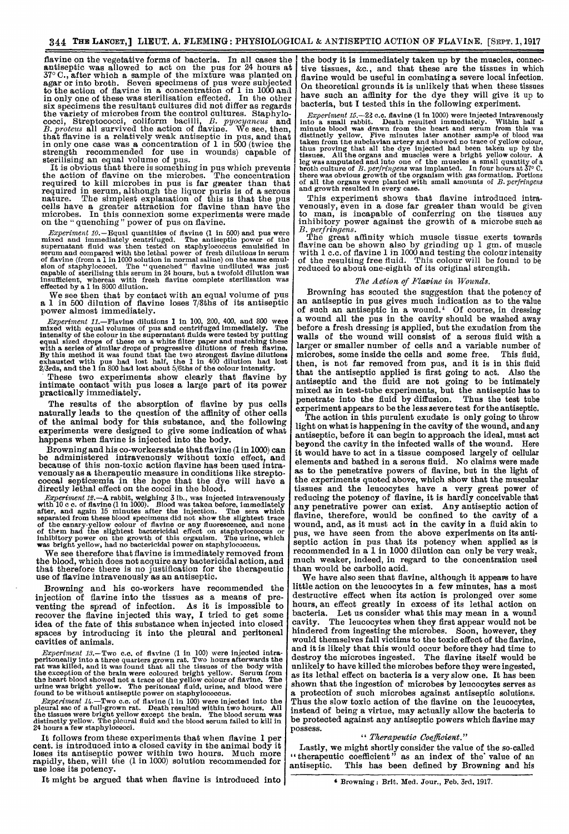flavine on the vegetative forms of bacteria. In all cases the antiseptic was allowed to act on the pus for  $24$  hours at  $770$  C 37° C., after which a sample of the mixture was planted on agar or into broth. Seven specimens of pus were subjected to the action of flavine in a concentration of 1 in 1000 and in only one of these was sterilisation effected. In the other six specimens the resultant cultures did not differ as regards the variety of microbes from the control cultures. Staphylothe variety of microbes from the control cultures. Staphylo-<br>cocci, Streptococci, coliform bacilli, B. pyocyaneus and B. proteus all survived the action of flavine. We see, then, that flavine is a relatively weak antiseptic in pus, and that in only one case was a concentration of 1 in 500 (twice the strength recommended for use in wounds) capable of sterilising an equal volume of pus.

It is obvious that there is something in pus which prevents the action of flavine on the microbes. The concentration required to kill microbes in pus is far greater than that required in serum, although the liquor puris is of a serous nature. The simplest explanation of this is that the pus cells have a greater attraction for flavine than have the microbes. In this connexion some experiments were made on the " quenching " power of pus on flavine.

*Experiment 10.*—Equal quantities of flavine (1 in 500) and pus were<br>mixed and immediately centrifuged. The antiseptic power of the<br>supernatant fluid was then tested on staphylococcus emulsified in<br>serum and compared with

We see then that by contact with an equal volume of pus a 1 in 500 dilution of flavine loses 7/8ths of its antiseptic power almost immediately.

*Experiment 11.*—Flavine dilutions 1 in 100, 200, 400, and 800 were mixed with equal volumes of pus and centrifuged inmediately. The intensity of the colour in the supernatant fluids were tested by putting equal sized dro

These two experiments show clearly that flavine by intimate contact with pus loses a large part of its power practically immediately.

The results of the absorption of flavine by pus cells naturally leads to the question of the affinity of other cells of the animal body for this substance, and the following experiments were designed to give some indication of what happens when flavine is injected into the body.

Browning and his co-workers state that flavine (1 in 1000) can be administered intravenously without toxic effect, and because of this non-toxic action flavine has been used intravenously as a therapeutic measure in conditions like strepto- coccal septicaemia in the hope that the dye will have a directly lethal effect on the cocci in the blood.

*Experiment 12.*—A rabbit, weighing 3 lb., was injected intravenously with 10 c c. of flavine (1 in 1000). Blood was taken before, immediately after, and again 15 minutes after the injection. The sera which separated from these blood specimens did not show the slightest trace<br>of the canary-yellow colour of flavine or any fluorescence, and none<br>of them had the slightest bactericidal effect on staphylococcus or<br>inhibitory power

We see therefore that flavine is immediately removed from the blood, which does not acquire any bactericidal action, and that therefore there is no justification for the therapeutic use of flavine intravenously as an antiseptic.

Browning and his co-workers have recommended the injection of flavine into the tissues as a means of preventing the spread of infection. As it is impossible to recover the flavine injected this way, I tried to get some idea of the fate of this substance when injected into closed spaces by introducing it into the pleural and peritoneal cavities of animals.

*Experiment 13.*—Two c.c. of flavine (1 in 100) were injected intra-<br>peritoneally into a three quarters grown rat. Two hours atterwards the<br>rat was killed, and it was found that all the tissues of the body with<br>the except

Experiment 14.—Two c.c. of flavine (1 in 100) were injected into the pleural sac of a full-grown rat. Death resulted within two hours. All the tissues were bright yellow except the brain. The blood serum was distinctly yel  $24 \text{ hours a few staphylococci.}$ 

It follows from these experiments that when flavine 1 per cent. is introduced into a closed cavity in the animal body it loses its antiseptic power within two hours. Much more rapidly, then, will the (1 in 1000) solution recommended for use lose its potency.

It might be argued that when flavine is introduced into

the body it is immediately taken up by the muscles, connective tissues, &c., and that these are the tissues in which flavine would be useful in combating a severe local infection. On theoretical grounds it is unlikely that when these tissues have such an affinity for the dye they will give it up to bacteria, but I tested this in the following experiment.<br> $Experiment\ 15.-22$  c.c. flavine (1 in 1000) were injected intravenously

*Experiment 15.*—22 c.c. flavine (1 in 1000) were injected intravenously<br>into a small rabbit. Death resulted inmediately. Within half a<br>minute blood was drawn from the heart and serum from this was<br>distinctly yellow. Five

This experiment shows that flavine introduced intra-venously, even in a dose far greater than would be given to man, is incapable of conferring on the tissues any inhibitory power against the growth of a microbe such as

B. perfringens.<br>The great affinity which muscle tissue exerts towards flavine can be shown also by grinding up 1 gm. of muscle with 1 c.c. of flavine 1 in 1000 and testing the colour intensity of the resulting free fluid. This colour will be found to be reduced to about one-eighth of its original strength.

#### The Aotion of Flavine in Wounds.

Browning has scouted the suggestion that the potency of an antiseptic in pus gives much indication as to the value of such an antiseptic in a wound.<sup>4</sup> Of course, in dressing a wound all the pus in the cavity should be washed away before a fresh dressing is applied, but the exudation from the walls of the wound will consist of a serous fluid with a larger or smaller number of cells and a variable number of microbes, some inside the cells and some free. This fluid microbes, some inside the cells and some free. then, is not far removed from pus, and it is in this fluid that the antiseptic applied is first going to act. Also the antiseptic and the fluid are not going to be intimately mixed as in test-tube experiments, but the antiseptic has to penetrate into the fluid by diffusion. Thus the test tube experiment appears to be the less severe test for the antiseptic.

The action in this purulent exudate is only going to throw light on what is happening in the cavity of the wound, and any antiseptic, before it can begin to approach the ideal, must act beyond the cavity in the infected walls of the wound. Here it would have to act in a tissue composed largely of cellular elements and bathed in a serous fluid. No claims were made as to the penetrative powers of flavine, but in the light of the experiments quoted above, which show that the muscular tissues and the leucocytes have a very great power of reducing the potency of flavine, it is hardly conceivable that any penetrative power can exist. Any antiseptic action of flavine, therefore, would be confined to the cavity of a wound, and, as it must act in the cavity in a fluid akin to pus, we have seen from the above experiments on its antiseptic action in pus that its potency when applied as is recommended in a 1 in 1000 dilution can only be very weak, much weaker, indeed, in regard to the concentration used than would be carbolic acid.

We have also seen that flavine, although it appears to have little action on the leucocytes in a few minutes, has a most destructive effect when its action is prolonged over some hours, an effect greatly in excess of its lethal action on bacteria. Let us consider what this may mean in a wound The leucocytes when they first appear would not be hindered from ingesting the microbes. Soon, however, they would themselves fall victims to the toxic effect of the flavine, and it is likely that this would occur before they had time to destroy the microbes ingested. The flavine itself would be unlikely to have killed the microbes before they were ingested, as its lethal effect on bacteria is a very slow one. It has been shown that the ingestion of microbes by leucocytes serves as a protection of such microbes against antiseptic solutions. Thus the slow toxic action of the flavine on the leucocytes, nstead of being a virtue, may actually allow the bacteria to be protected against any antiseptic powers which flavine may possess.

## " Therapeutic Coefficient."

Lastly, we might shortly consider the value of the so-called therapeutic coefficient" as an index of the' value of an antiseptic. This has been defined by Browning and his